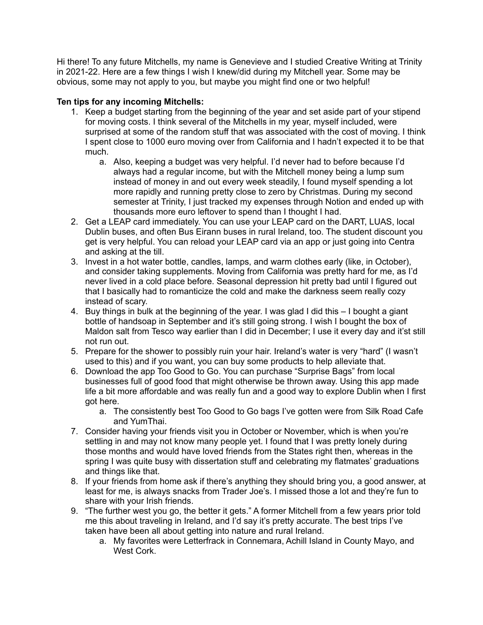Hi there! To any future Mitchells, my name is Genevieve and I studied Creative Writing at Trinity in 2021-22. Here are a few things I wish I knew/did during my Mitchell year. Some may be obvious, some may not apply to you, but maybe you might find one or two helpful!

## **Ten tips for any incoming Mitchells:**

- 1. Keep a budget starting from the beginning of the year and set aside part of your stipend for moving costs. I think several of the Mitchells in my year, myself included, were surprised at some of the random stuff that was associated with the cost of moving. I think I spent close to 1000 euro moving over from California and I hadn't expected it to be that much.
	- a. Also, keeping a budget was very helpful. I'd never had to before because I'd always had a regular income, but with the Mitchell money being a lump sum instead of money in and out every week steadily, I found myself spending a lot more rapidly and running pretty close to zero by Christmas. During my second semester at Trinity, I just tracked my expenses through Notion and ended up with thousands more euro leftover to spend than I thought I had.
- 2. Get a LEAP card immediately. You can use your LEAP card on the DART, LUAS, local Dublin buses, and often Bus Eirann buses in rural Ireland, too. The student discount you get is very helpful. You can reload your LEAP card via an app or just going into Centra and asking at the till.
- 3. Invest in a hot water bottle, candles, lamps, and warm clothes early (like, in October), and consider taking supplements. Moving from California was pretty hard for me, as I'd never lived in a cold place before. Seasonal depression hit pretty bad until I figured out that I basically had to romanticize the cold and make the darkness seem really cozy instead of scary.
- 4. Buy things in bulk at the beginning of the year. I was glad I did this I bought a giant bottle of handsoap in September and it's still going strong. I wish I bought the box of Maldon salt from Tesco way earlier than I did in December; I use it every day and it'st still not run out.
- 5. Prepare for the shower to possibly ruin your hair. Ireland's water is very "hard" (I wasn't used to this) and if you want, you can buy some products to help alleviate that.
- 6. Download the app Too Good to Go. You can purchase "Surprise Bags" from local businesses full of good food that might otherwise be thrown away. Using this app made life a bit more affordable and was really fun and a good way to explore Dublin when I first got here.
	- a. The consistently best Too Good to Go bags I've gotten were from Silk Road Cafe and YumThai.
- 7. Consider having your friends visit you in October or November, which is when you're settling in and may not know many people yet. I found that I was pretty lonely during those months and would have loved friends from the States right then, whereas in the spring I was quite busy with dissertation stuff and celebrating my flatmates' graduations and things like that.
- 8. If your friends from home ask if there's anything they should bring you, a good answer, at least for me, is always snacks from Trader Joe's. I missed those a lot and they're fun to share with your Irish friends.
- 9. "The further west you go, the better it gets." A former Mitchell from a few years prior told me this about traveling in Ireland, and I'd say it's pretty accurate. The best trips I've taken have been all about getting into nature and rural Ireland.
	- a. My favorites were Letterfrack in Connemara, Achill Island in County Mayo, and West Cork.